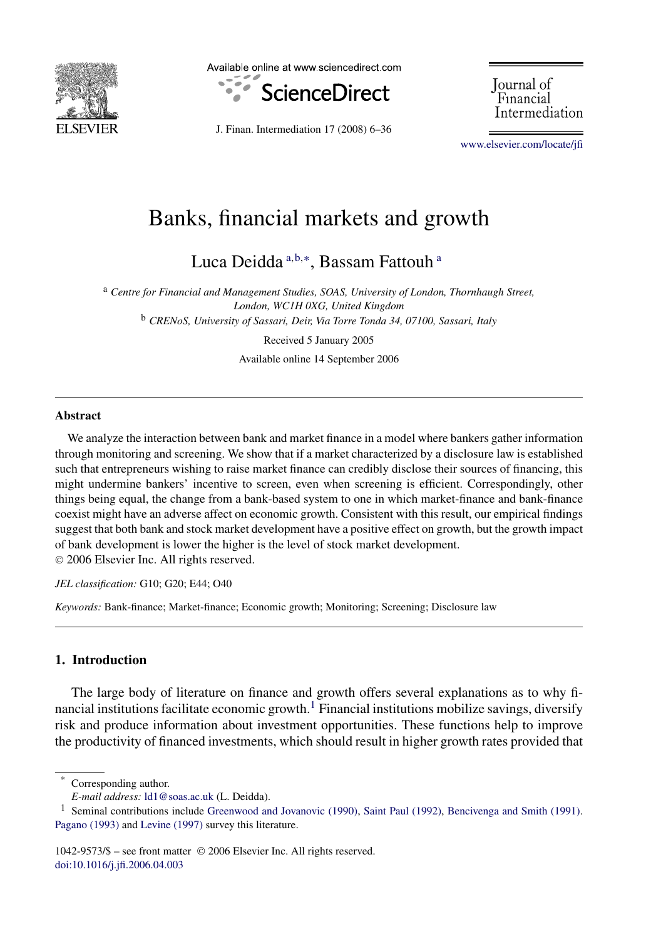

Available online at www.sciencedirect.com



J. Finan. Intermediation 17 (2008) 6–36

**Tournal** of Financial Intermediation

[www.elsevier.com/locate/jfi](http://www.elsevier.com/locate/jfi)

## Banks, financial markets and growth

Luca Deidda <sup>a</sup>*,*b*,*<sup>∗</sup> , Bassam Fattouh <sup>a</sup>

<sup>a</sup> *Centre for Financial and Management Studies, SOAS, University of London, Thornhaugh Street, London, WC1H 0XG, United Kingdom*

<sup>b</sup> *CRENoS, University of Sassari, Deir, Via Torre Tonda 34, 07100, Sassari, Italy*

Received 5 January 2005

Available online 14 September 2006

## **Abstract**

We analyze the interaction between bank and market finance in a model where bankers gather information through monitoring and screening. We show that if a market characterized by a disclosure law is established such that entrepreneurs wishing to raise market finance can credibly disclose their sources of financing, this might undermine bankers' incentive to screen, even when screening is efficient. Correspondingly, other things being equal, the change from a bank-based system to one in which market-finance and bank-finance coexist might have an adverse affect on economic growth. Consistent with this result, our empirical findings suggest that both bank and stock market development have a positive effect on growth, but the growth impact of bank development is lower the higher is the level of stock market development. © 2006 Elsevier Inc. All rights reserved.

*JEL classification:* G10; G20; E44; O40

*Keywords:* Bank-finance; Market-finance; Economic growth; Monitoring; Screening; Disclosure law

## **1. Introduction**

The large body of literature on finance and growth offers several explanations as to why financial institutions facilitate economic growth.<sup>1</sup> Financial institutions mobilize savings, diversify risk and produce information about investment opportunities. These functions help to improve the productivity of financed investments, which should result in higher growth rates provided that

Corresponding author.

1042-9573/\$ – see front matter © 2006 Elsevier Inc. All rights reserved. [doi:10.1016/j.jfi.2006.04.003](http://dx.doi.org/10.1016/j.jfi.2006.04.003)

*E-mail address:* [ld1@soas.ac.uk](mailto:ld1@soas.ac.uk) (L. Deidda).

<sup>&</sup>lt;sup>1</sup> Seminal contributions include [Greenwood and Jovanovic \(1990\),](#page--1-0) [Saint Paul \(1992\),](#page--1-0) [Bencivenga and Smith \(1991\).](#page--1-0) [Pagano \(1993\)](#page--1-0) and [Levine \(1997\)](#page--1-0) survey this literature.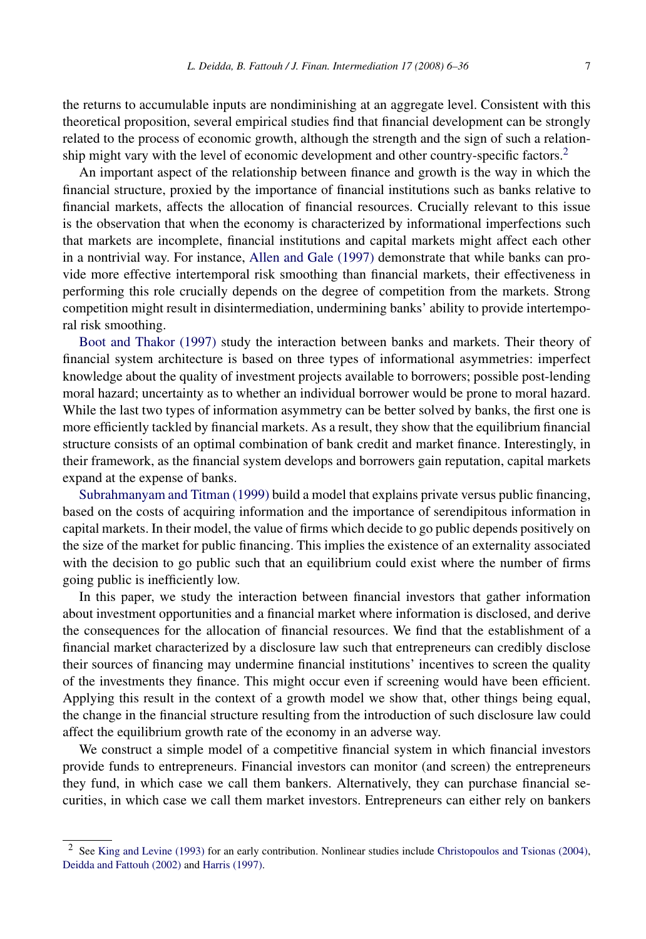the returns to accumulable inputs are nondiminishing at an aggregate level. Consistent with this theoretical proposition, several empirical studies find that financial development can be strongly related to the process of economic growth, although the strength and the sign of such a relationship might vary with the level of economic development and other country-specific factors.<sup>2</sup>

An important aspect of the relationship between finance and growth is the way in which the financial structure, proxied by the importance of financial institutions such as banks relative to financial markets, affects the allocation of financial resources. Crucially relevant to this issue is the observation that when the economy is characterized by informational imperfections such that markets are incomplete, financial institutions and capital markets might affect each other in a nontrivial way. For instance, [Allen and Gale \(1997\)](#page--1-0) demonstrate that while banks can provide more effective intertemporal risk smoothing than financial markets, their effectiveness in performing this role crucially depends on the degree of competition from the markets. Strong competition might result in disintermediation, undermining banks' ability to provide intertemporal risk smoothing.

[Boot and Thakor \(1997\)](#page--1-0) study the interaction between banks and markets. Their theory of financial system architecture is based on three types of informational asymmetries: imperfect knowledge about the quality of investment projects available to borrowers; possible post-lending moral hazard; uncertainty as to whether an individual borrower would be prone to moral hazard. While the last two types of information asymmetry can be better solved by banks, the first one is more efficiently tackled by financial markets. As a result, they show that the equilibrium financial structure consists of an optimal combination of bank credit and market finance. Interestingly, in their framework, as the financial system develops and borrowers gain reputation, capital markets expand at the expense of banks.

[Subrahmanyam and Titman \(1999\)](#page--1-0) build a model that explains private versus public financing, based on the costs of acquiring information and the importance of serendipitous information in capital markets. In their model, the value of firms which decide to go public depends positively on the size of the market for public financing. This implies the existence of an externality associated with the decision to go public such that an equilibrium could exist where the number of firms going public is inefficiently low.

In this paper, we study the interaction between financial investors that gather information about investment opportunities and a financial market where information is disclosed, and derive the consequences for the allocation of financial resources. We find that the establishment of a financial market characterized by a disclosure law such that entrepreneurs can credibly disclose their sources of financing may undermine financial institutions' incentives to screen the quality of the investments they finance. This might occur even if screening would have been efficient. Applying this result in the context of a growth model we show that, other things being equal, the change in the financial structure resulting from the introduction of such disclosure law could affect the equilibrium growth rate of the economy in an adverse way.

We construct a simple model of a competitive financial system in which financial investors provide funds to entrepreneurs. Financial investors can monitor (and screen) the entrepreneurs they fund, in which case we call them bankers. Alternatively, they can purchase financial securities, in which case we call them market investors. Entrepreneurs can either rely on bankers

<sup>&</sup>lt;sup>2</sup> See [King and Levine \(1993\)](#page--1-0) for an early contribution. Nonlinear studies include [Christopoulos and Tsionas \(2004\),](#page--1-0) [Deidda and Fattouh \(2002\)](#page--1-0) and [Harris \(1997\).](#page--1-0)